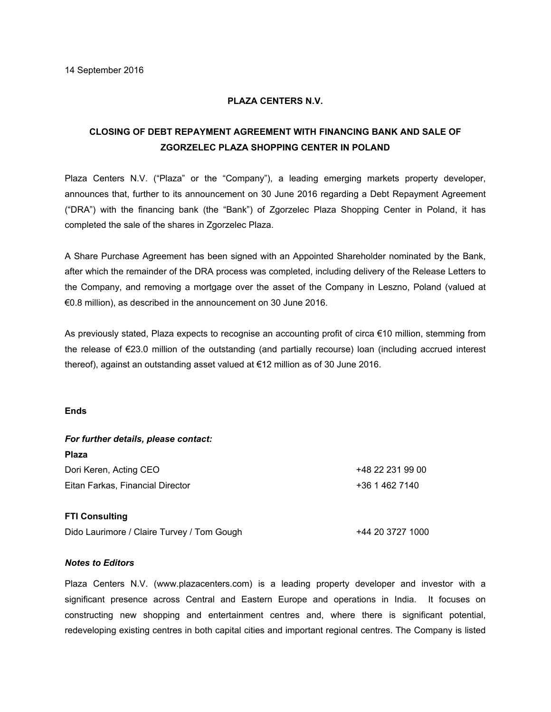## **PLAZA CENTERS N.V.**

## **CLOSING OF DEBT REPAYMENT AGREEMENT WITH FINANCING BANK AND SALE OF ZGORZELEC PLAZA SHOPPING CENTER IN POLAND**

Plaza Centers N.V. ("Plaza" or the "Company"), a leading emerging markets property developer, announces that, further to its announcement on 30 June 2016 regarding a Debt Repayment Agreement ("DRA") with the financing bank (the "Bank") of Zgorzelec Plaza Shopping Center in Poland, it has completed the sale of the shares in Zgorzelec Plaza.

A Share Purchase Agreement has been signed with an Appointed Shareholder nominated by the Bank, after which the remainder of the DRA process was completed, including delivery of the Release Letters to the Company, and removing a mortgage over the asset of the Company in Leszno, Poland (valued at €0.8 million), as described in the announcement on 30 June 2016.

As previously stated, Plaza expects to recognise an accounting profit of circa €10 million, stemming from the release of €23.0 million of the outstanding (and partially recourse) loan (including accrued interest thereof), against an outstanding asset valued at €12 million as of 30 June 2016.

## **Ends**

| For further details, please contact: |                  |
|--------------------------------------|------------------|
| <b>Plaza</b>                         |                  |
| Dori Keren, Acting CEO               | +48 22 231 99 00 |
| Eitan Farkas, Financial Director     | +36 1 462 7140   |
| <b>FTI Consulting</b>                |                  |

Dido Laurimore / Claire Turvey / Tom Gough +44 20 3727 1000

## *Notes to Editors*

Plaza Centers N.V. (www.plazacenters.com) is a leading property developer and investor with a significant presence across Central and Eastern Europe and operations in India. It focuses on constructing new shopping and entertainment centres and, where there is significant potential, redeveloping existing centres in both capital cities and important regional centres. The Company is listed